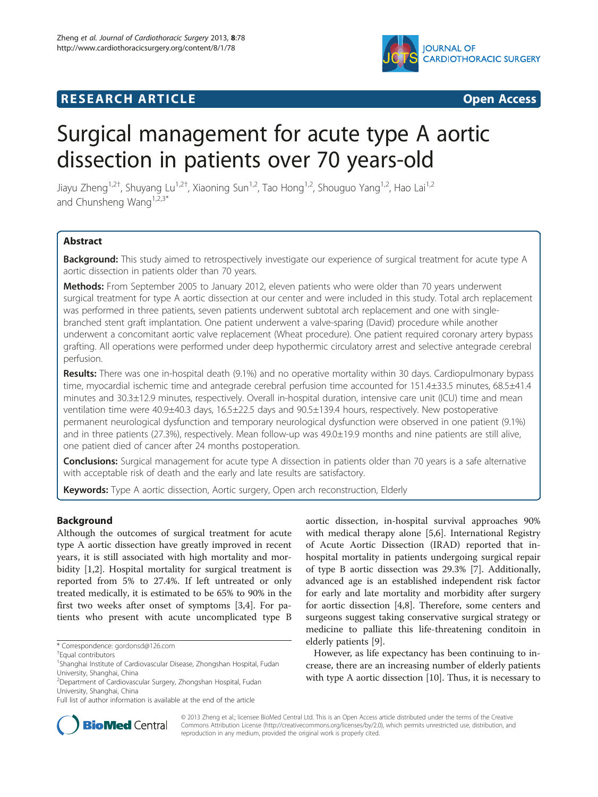

# **RESEARCH ARTICLE Example 2008 CONSIDERING CONSIDERING CONSIDERING CONSIDERING CONSIDERING CONSIDERING CONSIDERING CONSIDERING CONSIDERING CONSIDERING CONSIDERING CONSIDERING CONSIDERING CONSIDERING CONSIDERING CONSIDE**

# Surgical management for acute type A aortic dissection in patients over 70 years-old

Jiayu Zheng<sup>1,2†</sup>, Shuyang Lu<sup>1,2†</sup>, Xiaoning Sun<sup>1,2</sup>, Tao Hong<sup>1,2</sup>, Shouguo Yang<sup>1,2</sup>, Hao Lai<sup>1,2</sup> and Chunsheng Wang<sup>1,2,3\*</sup>

# **Abstract**

Background: This study aimed to retrospectively investigate our experience of surgical treatment for acute type A aortic dissection in patients older than 70 years.

Methods: From September 2005 to January 2012, eleven patients who were older than 70 years underwent surgical treatment for type A aortic dissection at our center and were included in this study. Total arch replacement was performed in three patients, seven patients underwent subtotal arch replacement and one with singlebranched stent graft implantation. One patient underwent a valve-sparing (David) procedure while another underwent a concomitant aortic valve replacement (Wheat procedure). One patient required coronary artery bypass grafting. All operations were performed under deep hypothermic circulatory arrest and selective antegrade cerebral perfusion.

Results: There was one in-hospital death (9.1%) and no operative mortality within 30 days. Cardiopulmonary bypass time, myocardial ischemic time and antegrade cerebral perfusion time accounted for 151.4±33.5 minutes, 68.5±41.4 minutes and 30.3±12.9 minutes, respectively. Overall in-hospital duration, intensive care unit (ICU) time and mean ventilation time were 40.9±40.3 days, 16.5±22.5 days and 90.5±139.4 hours, respectively. New postoperative permanent neurological dysfunction and temporary neurological dysfunction were observed in one patient (9.1%) and in three patients (27.3%), respectively. Mean follow-up was 49.0±19.9 months and nine patients are still alive, one patient died of cancer after 24 months postoperation.

**Conclusions:** Surgical management for acute type A dissection in patients older than 70 years is a safe alternative with acceptable risk of death and the early and late results are satisfactory.

Keywords: Type A aortic dissection, Aortic surgery, Open arch reconstruction, Elderly

# Background

Although the outcomes of surgical treatment for acute type A aortic dissection have greatly improved in recent years, it is still associated with high mortality and mor-bidity [\[1,2\]](#page-4-0). Hospital mortality for surgical treatment is reported from 5% to 27.4%. If left untreated or only treated medically, it is estimated to be 65% to 90% in the first two weeks after onset of symptoms [\[3,4](#page-4-0)]. For patients who present with acute uncomplicated type B

aortic dissection, in-hospital survival approaches 90% with medical therapy alone [\[5,6](#page-4-0)]. International Registry of Acute Aortic Dissection (IRAD) reported that inhospital mortality in patients undergoing surgical repair of type B aortic dissection was 29.3% [[7\]](#page-4-0). Additionally, advanced age is an established independent risk factor for early and late mortality and morbidity after surgery for aortic dissection [\[4,8](#page-4-0)]. Therefore, some centers and surgeons suggest taking conservative surgical strategy or medicine to palliate this life-threatening conditoin in elderly patients [\[9](#page-4-0)].

However, as life expectancy has been continuing to increase, there are an increasing number of elderly patients with type A aortic dissection [\[10](#page-4-0)]. Thus, it is necessary to



© 2013 Zheng et al.; licensee BioMed Central Ltd. This is an Open Access article distributed under the terms of the Creative Commons Attribution License [\(http://creativecommons.org/licenses/by/2.0\)](http://creativecommons.org/licenses/by/2.0), which permits unrestricted use, distribution, and reproduction in any medium, provided the original work is properly cited.

<sup>\*</sup> Correspondence: [gordonsd@126.com](mailto:gordonsd@126.com) †

Equal contributors

<sup>&</sup>lt;sup>1</sup>Shanghai Institute of Cardiovascular Disease, Zhongshan Hospital, Fudan University, Shanghai, China

<sup>2</sup> Department of Cardiovascular Surgery, Zhongshan Hospital, Fudan University, Shanghai, China

Full list of author information is available at the end of the article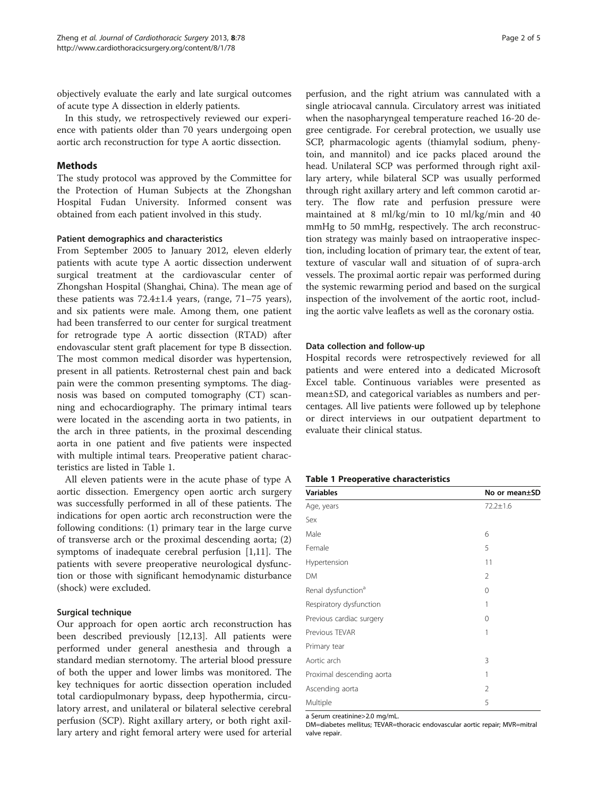objectively evaluate the early and late surgical outcomes of acute type A dissection in elderly patients.

In this study, we retrospectively reviewed our experience with patients older than 70 years undergoing open aortic arch reconstruction for type A aortic dissection.

# Methods

The study protocol was approved by the Committee for the Protection of Human Subjects at the Zhongshan Hospital Fudan University. Informed consent was obtained from each patient involved in this study.

## Patient demographics and characteristics

From September 2005 to January 2012, eleven elderly patients with acute type A aortic dissection underwent surgical treatment at the cardiovascular center of Zhongshan Hospital (Shanghai, China). The mean age of these patients was 72.4±1.4 years, (range, 71–75 years), and six patients were male. Among them, one patient had been transferred to our center for surgical treatment for retrograde type A aortic dissection (RTAD) after endovascular stent graft placement for type B dissection. The most common medical disorder was hypertension, present in all patients. Retrosternal chest pain and back pain were the common presenting symptoms. The diagnosis was based on computed tomography (CT) scanning and echocardiography. The primary intimal tears were located in the ascending aorta in two patients, in the arch in three patients, in the proximal descending aorta in one patient and five patients were inspected with multiple intimal tears. Preoperative patient characteristics are listed in Table 1.

All eleven patients were in the acute phase of type A aortic dissection. Emergency open aortic arch surgery was successfully performed in all of these patients. The indications for open aortic arch reconstruction were the following conditions: (1) primary tear in the large curve of transverse arch or the proximal descending aorta; (2) symptoms of inadequate cerebral perfusion [[1,11\]](#page-4-0). The patients with severe preoperative neurological dysfunction or those with significant hemodynamic disturbance (shock) were excluded.

## Surgical technique

Our approach for open aortic arch reconstruction has been described previously [[12,13](#page-4-0)]. All patients were performed under general anesthesia and through a standard median sternotomy. The arterial blood pressure of both the upper and lower limbs was monitored. The key techniques for aortic dissection operation included total cardiopulmonary bypass, deep hypothermia, circulatory arrest, and unilateral or bilateral selective cerebral perfusion (SCP). Right axillary artery, or both right axillary artery and right femoral artery were used for arterial

perfusion, and the right atrium was cannulated with a single atriocaval cannula. Circulatory arrest was initiated when the nasopharyngeal temperature reached 16-20 degree centigrade. For cerebral protection, we usually use SCP, pharmacologic agents (thiamylal sodium, phenytoin, and mannitol) and ice packs placed around the head. Unilateral SCP was performed through right axillary artery, while bilateral SCP was usually performed through right axillary artery and left common carotid artery. The flow rate and perfusion pressure were maintained at 8 ml/kg/min to 10 ml/kg/min and 40 mmHg to 50 mmHg, respectively. The arch reconstruction strategy was mainly based on intraoperative inspection, including location of primary tear, the extent of tear, texture of vascular wall and situation of of supra-arch vessels. The proximal aortic repair was performed during the systemic rewarming period and based on the surgical inspection of the involvement of the aortic root, including the aortic valve leaflets as well as the coronary ostia.

#### Data collection and follow-up

Hospital records were retrospectively reviewed for all patients and were entered into a dedicated Microsoft Excel table. Continuous variables were presented as mean±SD, and categorical variables as numbers and percentages. All live patients were followed up by telephone or direct interviews in our outpatient department to evaluate their clinical status.

#### Table 1 Preoperative characteristics

| <b>Variables</b>               | No or mean±SD  |  |
|--------------------------------|----------------|--|
| Age, years                     | $72.2 \pm 1.6$ |  |
| Sex                            |                |  |
| Male                           | 6              |  |
| Female                         | 5              |  |
| Hypertension                   | 11             |  |
| DM                             | $\overline{2}$ |  |
| Renal dysfunction <sup>a</sup> | $\Omega$       |  |
| Respiratory dysfunction        | 1              |  |
| Previous cardiac surgery       | $\Omega$       |  |
| Previous TEVAR                 | 1              |  |
| Primary tear                   |                |  |
| Aortic arch                    | 3              |  |
| Proximal descending aorta      | 1              |  |
| Ascending aorta                | $\mathfrak{D}$ |  |
| Multiple                       | 5              |  |

a Serum creatinine>2.0 mg/mL.

DM=diabetes mellitus; TEVAR=thoracic endovascular aortic repair; MVR=mitral valve repair.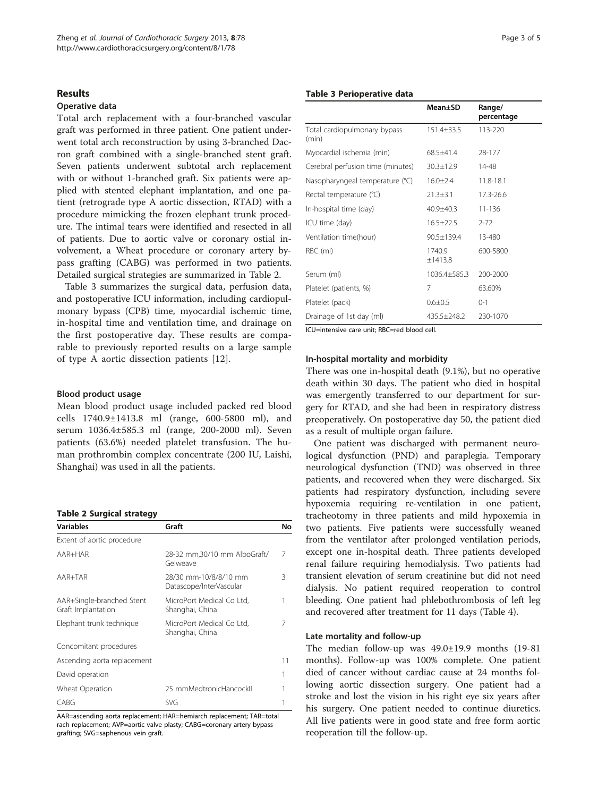#### Results

## Operative data

Total arch replacement with a four-branched vascular graft was performed in three patient. One patient underwent total arch reconstruction by using 3-branched Dacron graft combined with a single-branched stent graft. Seven patients underwent subtotal arch replacement with or without 1-branched graft. Six patients were applied with stented elephant implantation, and one patient (retrograde type A aortic dissection, RTAD) with a procedure mimicking the frozen elephant trunk procedure. The intimal tears were identified and resected in all of patients. Due to aortic valve or coronary ostial involvement, a Wheat procedure or coronary artery bypass grafting (CABG) was performed in two patients. Detailed surgical strategies are summarized in Table 2.

Table 3 summarizes the surgical data, perfusion data, and postoperative ICU information, including cardiopulmonary bypass (CPB) time, myocardial ischemic time, in-hospital time and ventilation time, and drainage on the first postoperative day. These results are comparable to previously reported results on a large sample of type A aortic dissection patients [\[12](#page-4-0)].

## Blood product usage

Mean blood product usage included packed red blood cells 1740.9±1413.8 ml (range, 600-5800 ml), and serum 1036.4±585.3 ml (range, 200-2000 ml). Seven patients (63.6%) needed platelet transfusion. The human prothrombin complex concentrate (200 IU, Laishi, Shanghai) was used in all the patients.

|  |  |  | <b>Table 2 Surgical strategy</b> |
|--|--|--|----------------------------------|
|--|--|--|----------------------------------|

| <b>Variables</b>                                | Graft                                            | Νo |
|-------------------------------------------------|--------------------------------------------------|----|
| Extent of aortic procedure                      |                                                  |    |
| AAR+HAR                                         | 28-32 mm,30/10 mm AlboGraft/<br>Gelweave         | 7  |
| AAR+TAR                                         | 28/30 mm-10/8/8/10 mm<br>Datascope/InterVascular | 3  |
| AAR+Single-branched Stent<br>Graft Implantation | MicroPort Medical Co Ltd,<br>Shanghai, China     | 1  |
| Elephant trunk technique                        | MicroPort Medical Co Ltd,<br>Shanghai, China     |    |
| Concomitant procedures                          |                                                  |    |
| Ascending aorta replacement                     |                                                  | 11 |
| David operation                                 |                                                  |    |
| Wheat Operation                                 | 25 mmMedtronicHancockII                          |    |
| CABG                                            | <b>SVG</b>                                       |    |

AAR=ascending aorta replacement; HAR=hemiarch replacement; TAR=total rach replacement; AVP=aortic valve plasty; CABG=coronary artery bypass grafting; SVG=saphenous vein graft.

#### Table 3 Perioperative data

|                                       | Mean±SD           | Range/<br>percentage |
|---------------------------------------|-------------------|----------------------|
| Total cardiopulmonary bypass<br>(min) | $151.4 \pm 33.5$  | 113-220              |
| Myocardial ischemia (min)             | 68.5+41.4         | 28-177               |
| Cerebral perfusion time (minutes)     | $30.3 + 12.9$     | 14-48                |
| Nasopharyngeal temperature (°C)       | $16.0 \pm 2.4$    | 11.8-18.1            |
| Rectal temperature (°C)               | $21.3 + 3.1$      | 17.3-26.6            |
| In-hospital time (day)                | $40.9 + 40.3$     | 11-136               |
| ICU time (day)                        | $16.5 \pm 22.5$   | $2 - 72$             |
| Ventilation time(hour)                | 90.5±139.4        | 13-480               |
| RBC (ml)                              | 1740.9<br>±1413.8 | 600-5800             |
| Serum (ml)                            | 1036.4+585.3      | 200-2000             |
| Platelet (patients, %)                | 7                 | 63.60%               |
| Platelet (pack)                       | $0.6 + 0.5$       | $O-1$                |
| Drainage of 1st day (ml)              | 435.5±248.2       | 230-1070             |

ICU=intensive care unit; RBC=red blood cell.

#### In-hospital mortality and morbidity

There was one in-hospital death (9.1%), but no operative death within 30 days. The patient who died in hospital was emergently transferred to our department for surgery for RTAD, and she had been in respiratory distress preoperatively. On postoperative day 50, the patient died as a result of multiple organ failure.

One patient was discharged with permanent neurological dysfunction (PND) and paraplegia. Temporary neurological dysfunction (TND) was observed in three patients, and recovered when they were discharged. Six patients had respiratory dysfunction, including severe hypoxemia requiring re-ventilation in one patient, tracheotomy in three patients and mild hypoxemia in two patients. Five patients were successfully weaned from the ventilator after prolonged ventilation periods, except one in-hospital death. Three patients developed renal failure requiring hemodialysis. Two patients had transient elevation of serum creatinine but did not need dialysis. No patient required reoperation to control bleeding. One patient had phlebothrombosis of left leg and recovered after treatment for 11 days (Table [4](#page-3-0)).

#### Late mortality and follow-up

The median follow-up was 49.0±19.9 months (19-81 months). Follow-up was 100% complete. One patient died of cancer without cardiac cause at 24 months following aortic dissection surgery. One patient had a stroke and lost the vision in his right eye six years after his surgery. One patient needed to continue diuretics. All live patients were in good state and free form aortic reoperation till the follow-up.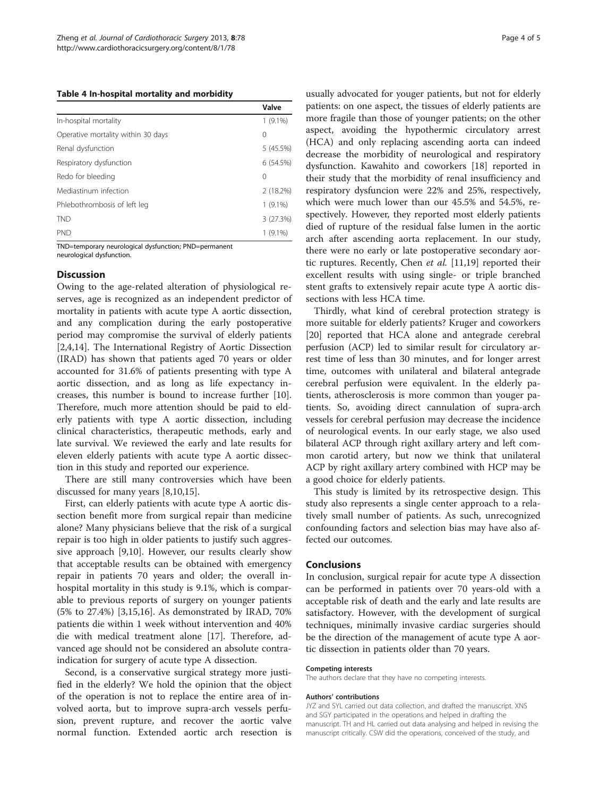#### <span id="page-3-0"></span>Table 4 In-hospital mortality and morbidity

|                                    | Valve      |
|------------------------------------|------------|
| In-hospital mortality              | $1(9.1\%)$ |
| Operative mortality within 30 days | 0          |
| Renal dysfunction                  | 5(45.5%)   |
| Respiratory dysfunction            | 6(54.5%)   |
| Redo for bleeding                  | 0          |
| Mediastinum infection              | 2(18.2%)   |
| Phlebothrombosis of left leg       | $1(9.1\%)$ |
| <b>TND</b>                         | 3 (27.3%)  |
| <b>PND</b>                         | $1(9.1\%)$ |

TND=temporary neurological dysfunction; PND=permanent neurological dysfunction.

#### **Discussion**

Owing to the age-related alteration of physiological reserves, age is recognized as an independent predictor of mortality in patients with acute type A aortic dissection, and any complication during the early postoperative period may compromise the survival of elderly patients [[2,4,14\]](#page-4-0). The International Registry of Aortic Dissection (IRAD) has shown that patients aged 70 years or older accounted for 31.6% of patients presenting with type A aortic dissection, and as long as life expectancy increases, this number is bound to increase further [\[10](#page-4-0)]. Therefore, much more attention should be paid to elderly patients with type A aortic dissection, including clinical characteristics, therapeutic methods, early and late survival. We reviewed the early and late results for eleven elderly patients with acute type A aortic dissection in this study and reported our experience.

There are still many controversies which have been discussed for many years [[8,10,15\]](#page-4-0).

First, can elderly patients with acute type A aortic dissection benefit more from surgical repair than medicine alone? Many physicians believe that the risk of a surgical repair is too high in older patients to justify such aggressive approach [\[9,10](#page-4-0)]. However, our results clearly show that acceptable results can be obtained with emergency repair in patients 70 years and older; the overall inhospital mortality in this study is 9.1%, which is comparable to previous reports of surgery on younger patients (5% to 27.4%) [\[3,15,16](#page-4-0)]. As demonstrated by IRAD, 70% patients die within 1 week without intervention and 40% die with medical treatment alone [\[17](#page-4-0)]. Therefore, advanced age should not be considered an absolute contraindication for surgery of acute type A dissection.

Second, is a conservative surgical strategy more justified in the elderly? We hold the opinion that the object of the operation is not to replace the entire area of involved aorta, but to improve supra-arch vessels perfusion, prevent rupture, and recover the aortic valve normal function. Extended aortic arch resection is

usually advocated for youger patients, but not for elderly patients: on one aspect, the tissues of elderly patients are more fragile than those of younger patients; on the other aspect, avoiding the hypothermic circulatory arrest (HCA) and only replacing ascending aorta can indeed decrease the morbidity of neurological and respiratory dysfunction. Kawahito and coworkers [[18\]](#page-4-0) reported in their study that the morbidity of renal insufficiency and respiratory dysfuncion were 22% and 25%, respectively, which were much lower than our 45.5% and 54.5%, respectively. However, they reported most elderly patients died of rupture of the residual false lumen in the aortic arch after ascending aorta replacement. In our study, there were no early or late postoperative secondary aortic ruptures. Recently, Chen et al. [\[11,19](#page-4-0)] reported their excellent results with using single- or triple branched stent grafts to extensively repair acute type A aortic dissections with less HCA time.

Thirdly, what kind of cerebral protection strategy is more suitable for elderly patients? Kruger and coworkers [[20\]](#page-4-0) reported that HCA alone and antegrade cerebral perfusion (ACP) led to similar result for circulatory arrest time of less than 30 minutes, and for longer arrest time, outcomes with unilateral and bilateral antegrade cerebral perfusion were equivalent. In the elderly patients, atherosclerosis is more common than youger patients. So, avoiding direct cannulation of supra-arch vessels for cerebral perfusion may decrease the incidence of neurological events. In our early stage, we also used bilateral ACP through right axillary artery and left common carotid artery, but now we think that unilateral ACP by right axillary artery combined with HCP may be a good choice for elderly patients.

This study is limited by its retrospective design. This study also represents a single center approach to a relatively small number of patients. As such, unrecognized confounding factors and selection bias may have also affected our outcomes.

# Conclusions

In conclusion, surgical repair for acute type A dissection can be performed in patients over 70 years-old with a acceptable risk of death and the early and late results are satisfactory. However, with the development of surgical techniques, minimally invasive cardiac surgeries should be the direction of the management of acute type A aortic dissection in patients older than 70 years.

#### Competing interests

The authors declare that they have no competing interests.

#### Authors' contributions

JYZ and SYL carried out data collection, and drafted the manuscript. XNS and SGY participated in the operations and helped in drafting the manuscript. TH and HL carried out data analysing and helped in revising the manuscript critically. CSW did the operations, conceived of the study, and